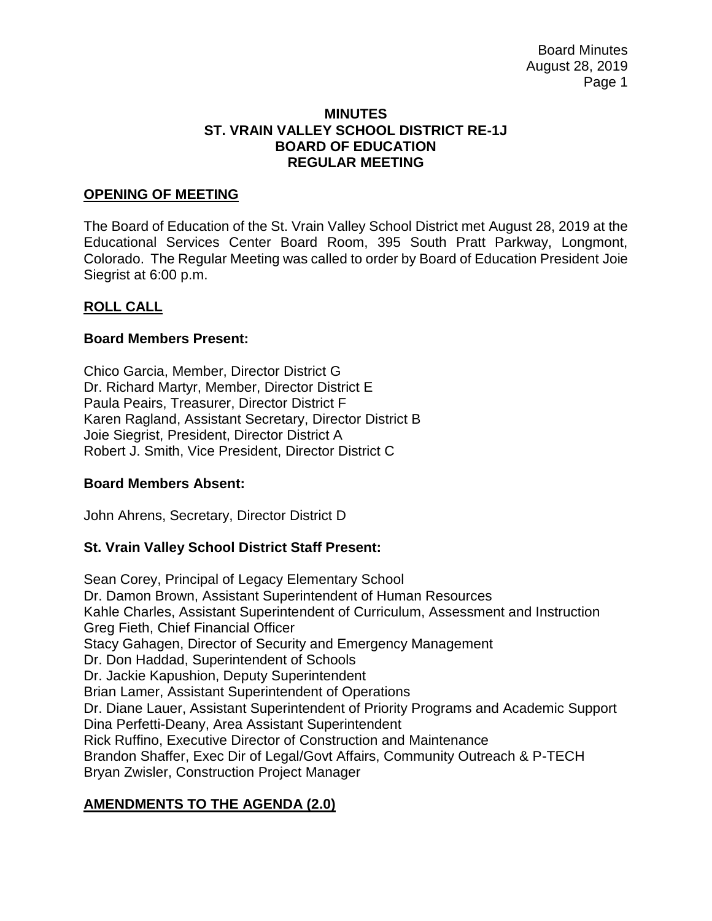Board Minutes August 28, 2019 Page 1

#### **MINUTES ST. VRAIN VALLEY SCHOOL DISTRICT RE-1J BOARD OF EDUCATION REGULAR MEETING**

#### **OPENING OF MEETING**

The Board of Education of the St. Vrain Valley School District met August 28, 2019 at the Educational Services Center Board Room, 395 South Pratt Parkway, Longmont, Colorado. The Regular Meeting was called to order by Board of Education President Joie Siegrist at 6:00 p.m.

#### **ROLL CALL**

#### **Board Members Present:**

Chico Garcia, Member, Director District G Dr. Richard Martyr, Member, Director District E Paula Peairs, Treasurer, Director District F Karen Ragland, Assistant Secretary, Director District B Joie Siegrist, President, Director District A Robert J. Smith, Vice President, Director District C

#### **Board Members Absent:**

John Ahrens, Secretary, Director District D

### **St. Vrain Valley School District Staff Present:**

Sean Corey, Principal of Legacy Elementary School Dr. Damon Brown, Assistant Superintendent of Human Resources Kahle Charles, Assistant Superintendent of Curriculum, Assessment and Instruction Greg Fieth, Chief Financial Officer Stacy Gahagen, Director of Security and Emergency Management Dr. Don Haddad, Superintendent of Schools Dr. Jackie Kapushion, Deputy Superintendent Brian Lamer, Assistant Superintendent of Operations Dr. Diane Lauer, Assistant Superintendent of Priority Programs and Academic Support Dina Perfetti-Deany, Area Assistant Superintendent Rick Ruffino, Executive Director of Construction and Maintenance Brandon Shaffer, Exec Dir of Legal/Govt Affairs, Community Outreach & P-TECH Bryan Zwisler, Construction Project Manager

### **AMENDMENTS TO THE AGENDA (2.0)**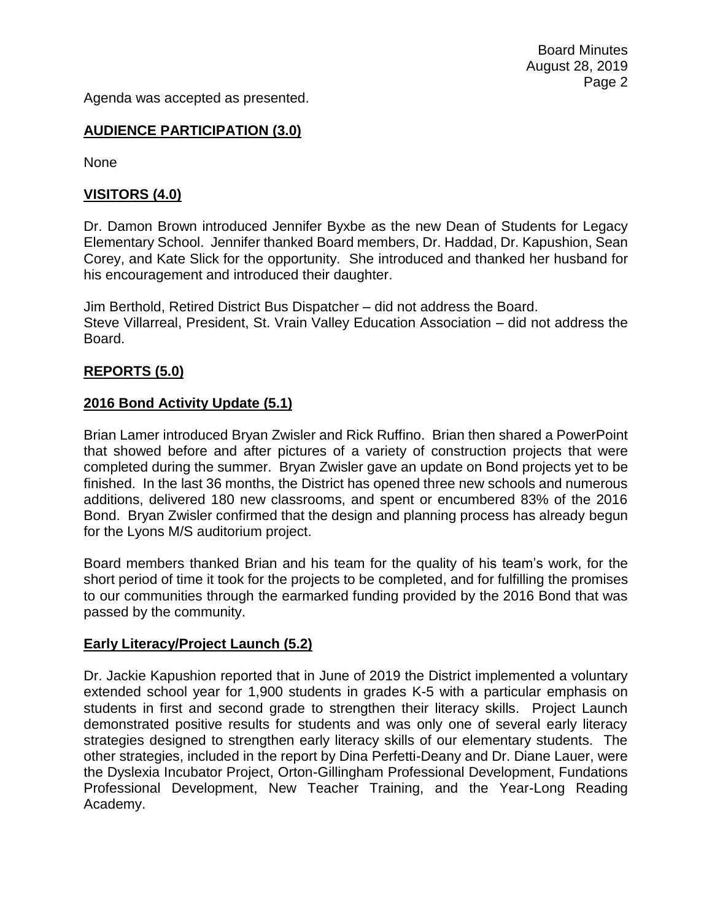Agenda was accepted as presented.

# **AUDIENCE PARTICIPATION (3.0)**

None

# **VISITORS (4.0)**

Dr. Damon Brown introduced Jennifer Byxbe as the new Dean of Students for Legacy Elementary School. Jennifer thanked Board members, Dr. Haddad, Dr. Kapushion, Sean Corey, and Kate Slick for the opportunity. She introduced and thanked her husband for his encouragement and introduced their daughter.

Jim Berthold, Retired District Bus Dispatcher – did not address the Board. Steve Villarreal, President, St. Vrain Valley Education Association – did not address the Board.

# **REPORTS (5.0)**

### **2016 Bond Activity Update (5.1)**

Brian Lamer introduced Bryan Zwisler and Rick Ruffino. Brian then shared a PowerPoint that showed before and after pictures of a variety of construction projects that were completed during the summer. Bryan Zwisler gave an update on Bond projects yet to be finished. In the last 36 months, the District has opened three new schools and numerous additions, delivered 180 new classrooms, and spent or encumbered 83% of the 2016 Bond. Bryan Zwisler confirmed that the design and planning process has already begun for the Lyons M/S auditorium project.

Board members thanked Brian and his team for the quality of his team's work, for the short period of time it took for the projects to be completed, and for fulfilling the promises to our communities through the earmarked funding provided by the 2016 Bond that was passed by the community.

### **Early Literacy/Project Launch (5.2)**

Dr. Jackie Kapushion reported that in June of 2019 the District implemented a voluntary extended school year for 1,900 students in grades K-5 with a particular emphasis on students in first and second grade to strengthen their literacy skills. Project Launch demonstrated positive results for students and was only one of several early literacy strategies designed to strengthen early literacy skills of our elementary students. The other strategies, included in the report by Dina Perfetti-Deany and Dr. Diane Lauer, were the Dyslexia Incubator Project, Orton-Gillingham Professional Development, Fundations Professional Development, New Teacher Training, and the Year-Long Reading Academy.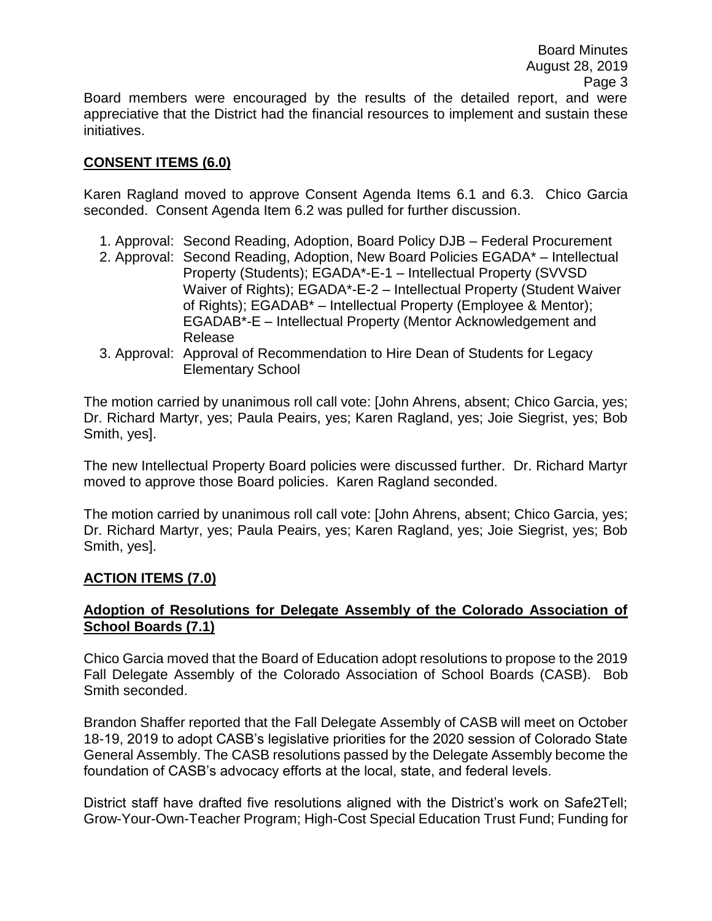Board Minutes August 28, 2019 Page 3

Board members were encouraged by the results of the detailed report, and were appreciative that the District had the financial resources to implement and sustain these initiatives.

# **CONSENT ITEMS (6.0)**

Karen Ragland moved to approve Consent Agenda Items 6.1 and 6.3. Chico Garcia seconded. Consent Agenda Item 6.2 was pulled for further discussion.

- 1. Approval: Second Reading, Adoption, Board Policy DJB Federal Procurement
- 2. Approval: Second Reading, Adoption, New Board Policies EGADA\* Intellectual Property (Students); EGADA\*-E-1 – Intellectual Property (SVVSD Waiver of Rights); EGADA\*-E-2 – Intellectual Property (Student Waiver of Rights); EGADAB\* – Intellectual Property (Employee & Mentor); EGADAB\*-E – Intellectual Property (Mentor Acknowledgement and Release
- 3. Approval: Approval of Recommendation to Hire Dean of Students for Legacy Elementary School

The motion carried by unanimous roll call vote: [John Ahrens, absent; Chico Garcia, yes; Dr. Richard Martyr, yes; Paula Peairs, yes; Karen Ragland, yes; Joie Siegrist, yes; Bob Smith, yes].

The new Intellectual Property Board policies were discussed further. Dr. Richard Martyr moved to approve those Board policies. Karen Ragland seconded.

The motion carried by unanimous roll call vote: [John Ahrens, absent; Chico Garcia, yes; Dr. Richard Martyr, yes; Paula Peairs, yes; Karen Ragland, yes; Joie Siegrist, yes; Bob Smith, yes].

### **ACTION ITEMS (7.0)**

# **Adoption of Resolutions for Delegate Assembly of the Colorado Association of School Boards (7.1)**

Chico Garcia moved that the Board of Education adopt resolutions to propose to the 2019 Fall Delegate Assembly of the Colorado Association of School Boards (CASB). Bob Smith seconded.

Brandon Shaffer reported that the Fall Delegate Assembly of CASB will meet on October 18-19, 2019 to adopt CASB's legislative priorities for the 2020 session of Colorado State General Assembly. The CASB resolutions passed by the Delegate Assembly become the foundation of CASB's advocacy efforts at the local, state, and federal levels.

District staff have drafted five resolutions aligned with the District's work on Safe2Tell; Grow-Your-Own-Teacher Program; High-Cost Special Education Trust Fund; Funding for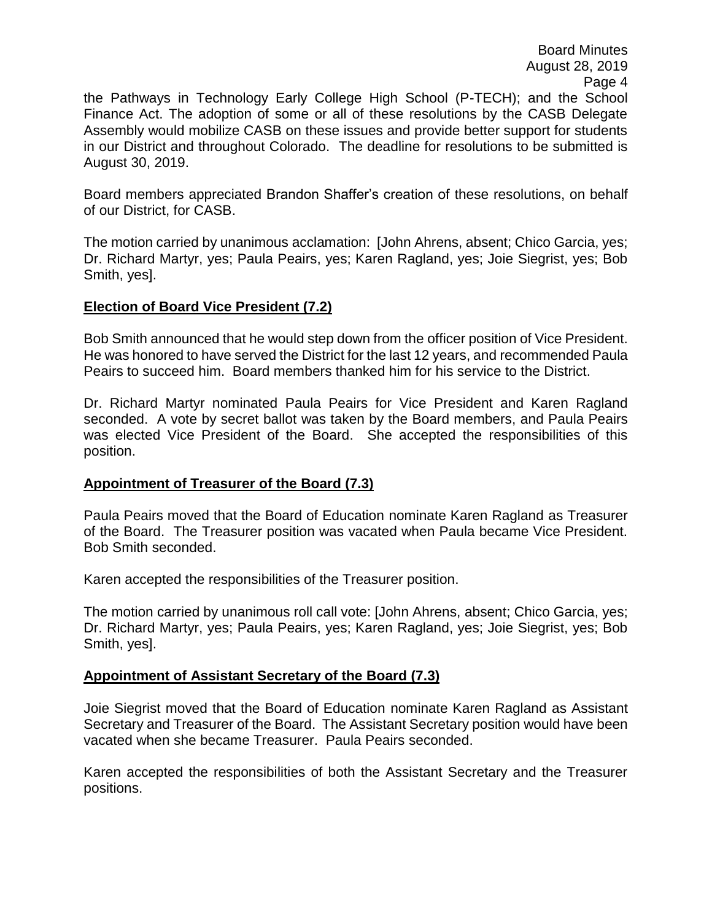Board Minutes August 28, 2019 Page 4

the Pathways in Technology Early College High School (P-TECH); and the School Finance Act. The adoption of some or all of these resolutions by the CASB Delegate Assembly would mobilize CASB on these issues and provide better support for students in our District and throughout Colorado. The deadline for resolutions to be submitted is August 30, 2019.

Board members appreciated Brandon Shaffer's creation of these resolutions, on behalf of our District, for CASB.

The motion carried by unanimous acclamation: [John Ahrens, absent; Chico Garcia, yes; Dr. Richard Martyr, yes; Paula Peairs, yes; Karen Ragland, yes; Joie Siegrist, yes; Bob Smith, yes].

#### **Election of Board Vice President (7.2)**

Bob Smith announced that he would step down from the officer position of Vice President. He was honored to have served the District for the last 12 years, and recommended Paula Peairs to succeed him. Board members thanked him for his service to the District.

Dr. Richard Martyr nominated Paula Peairs for Vice President and Karen Ragland seconded. A vote by secret ballot was taken by the Board members, and Paula Peairs was elected Vice President of the Board. She accepted the responsibilities of this position.

### **Appointment of Treasurer of the Board (7.3)**

Paula Peairs moved that the Board of Education nominate Karen Ragland as Treasurer of the Board. The Treasurer position was vacated when Paula became Vice President. Bob Smith seconded.

Karen accepted the responsibilities of the Treasurer position.

The motion carried by unanimous roll call vote: [John Ahrens, absent; Chico Garcia, yes; Dr. Richard Martyr, yes; Paula Peairs, yes; Karen Ragland, yes; Joie Siegrist, yes; Bob Smith, yes].

### **Appointment of Assistant Secretary of the Board (7.3)**

Joie Siegrist moved that the Board of Education nominate Karen Ragland as Assistant Secretary and Treasurer of the Board. The Assistant Secretary position would have been vacated when she became Treasurer. Paula Peairs seconded.

Karen accepted the responsibilities of both the Assistant Secretary and the Treasurer positions.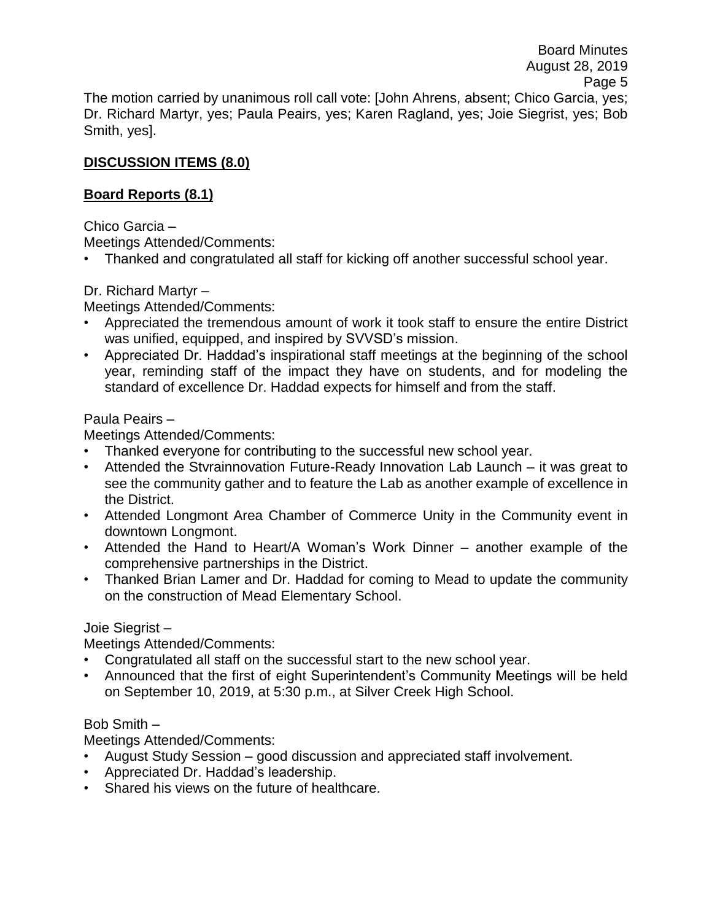The motion carried by unanimous roll call vote: [John Ahrens, absent; Chico Garcia, yes; Dr. Richard Martyr, yes; Paula Peairs, yes; Karen Ragland, yes; Joie Siegrist, yes; Bob Smith, yes].

# **DISCUSSION ITEMS (8.0)**

# **Board Reports (8.1)**

Chico Garcia –

Meetings Attended/Comments:

• Thanked and congratulated all staff for kicking off another successful school year.

Dr. Richard Martyr –

Meetings Attended/Comments:

- Appreciated the tremendous amount of work it took staff to ensure the entire District was unified, equipped, and inspired by SVVSD's mission.
- Appreciated Dr. Haddad's inspirational staff meetings at the beginning of the school year, reminding staff of the impact they have on students, and for modeling the standard of excellence Dr. Haddad expects for himself and from the staff.

Paula Peairs –

Meetings Attended/Comments:

- Thanked everyone for contributing to the successful new school year.
- Attended the Stvrainnovation Future-Ready Innovation Lab Launch it was great to see the community gather and to feature the Lab as another example of excellence in the District.
- Attended Longmont Area Chamber of Commerce Unity in the Community event in downtown Longmont.
- Attended the Hand to Heart/A Woman's Work Dinner another example of the comprehensive partnerships in the District.
- Thanked Brian Lamer and Dr. Haddad for coming to Mead to update the community on the construction of Mead Elementary School.

### Joie Siegrist –

Meetings Attended/Comments:

- Congratulated all staff on the successful start to the new school year.
- Announced that the first of eight Superintendent's Community Meetings will be held on September 10, 2019, at 5:30 p.m., at Silver Creek High School.

### Bob Smith –

Meetings Attended/Comments:

- August Study Session good discussion and appreciated staff involvement.
- Appreciated Dr. Haddad's leadership.
- Shared his views on the future of healthcare.